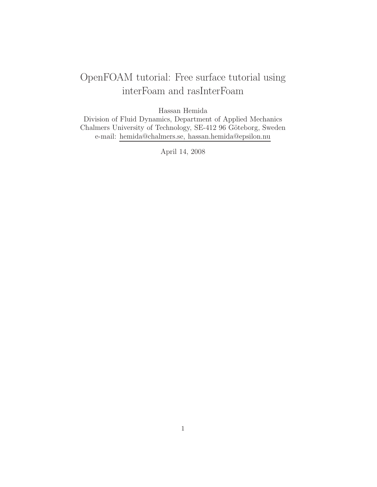# OpenFOAM tutorial: Free surface tutorial using interFoam and rasInterFoam

Hassan Hemida

Division of Fluid Dynamics, Department of Applied Mechanics Chalmers University of Technology, SE-412 96 Göteborg, Sweden e-mail: hemida@chalmers.se, hassan.hemida@epsilon.nu

April 14, 2008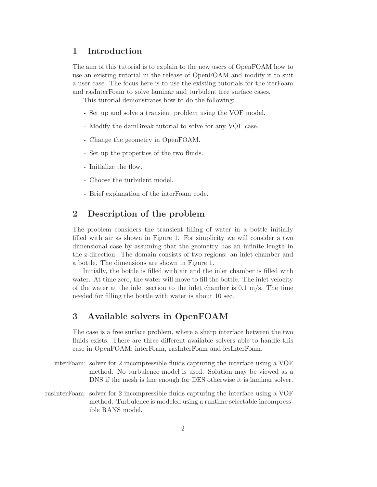### 1 Introduction

The aim of this tutorial is to explain to the new users of OpenFOAM how to use an existing tutorial in the release of OpenFOAM and modify it to suit a user case. The focus here is to use the existing tutorials for the iterFoam and rasInterFoam to solve laminar and turbulent free surface cases.

This tutorial demonstrates how to do the following:

- Set up and solve a transient problem using the VOF model.
- Modify the damBreak tutorial to solve for any VOF case.
- Change the geometry in OpenFOAM.
- Set up the properties of the two fluids.
- Initialize the flow.
- Choose the turbulent model.
- Brief explanation of the interFoam code.

## 2 Description of the problem

The problem considers the transient filling of water in a bottle initially filled with air as shown in Figure 1. For simplicity we will consider a two dimensional case by assuming that the geometry has an infinite length in the z-direction. The domain consists of two regions: an inlet chamber and a bottle. The dimensions are shown in Figure 1.

Initially, the bottle is filled with air and the inlet chamber is filled with water. At time zero, the water will move to fill the bottle. The inlet velocity of the water at the inlet section to the inlet chamber is  $0.1 \text{ m/s}$ . The time needed for filling the bottle with water is about 10 sec.

### 3 Available solvers in OpenFOAM

The case is a free surface problem, where a sharp interface between the two fluids exists. There are three different available solvers able to handle this case in OpenFOAM: interFoam, rasInterFoam and lesInterFoam.

- interFoam: solver for 2 incompressible fluids capturing the interface using a VOF method. No turbulence model is used. Solution may be viewed as a DNS if the mesh is fine enough for DES otherwise it is laminar solver.
- rasInterFoam: solver for 2 incompressible fluids capturing the interface using a VOF method. Turbulence is modeled using a runtime selectable incompressible RANS model.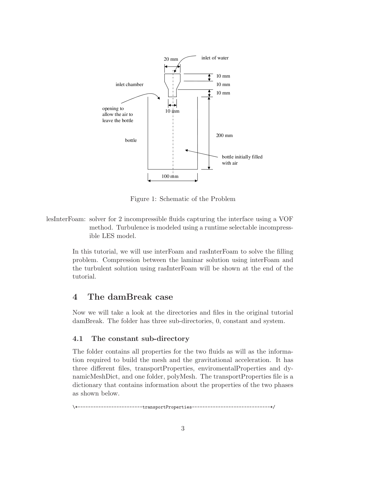

Figure 1: Schematic of the Problem

lesInterFoam: solver for 2 incompressible fluids capturing the interface using a VOF method. Turbulence is modeled using a runtime selectable incompressible LES model.

> In this tutorial, we will use interFoam and rasInterFoam to solve the filling problem. Compression between the laminar solution using interFoam and the turbulent solution using rasInterFoam will be shown at the end of the tutorial.

# 4 The damBreak case

Now we will take a look at the directories and files in the original tutorial damBreak. The folder has three sub-directories, 0, constant and system.

#### 4.1 The constant sub-directory

The folder contains all properties for the two fluids as will as the information required to build the mesh and the gravitational acceleration. It has three different files, transportProperties, enviromentalProperties and dynamicMeshDict, and one folder, polyMesh. The transportProperties file is a dictionary that contains information about the properties of the two phases as shown below.

\\*-------------------------transportProperties------------------------------\*/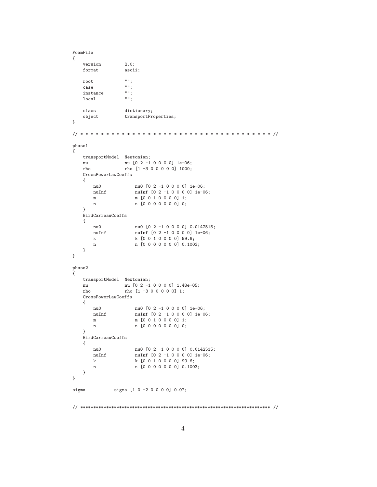```
FoamFile
{
   version 2.0;
   format ascii;
   root "";
   case "";<br>instance "";
   instance "";<br>local "";
   localclass dictionary;
   object transportProperties;
}
// * * * * * * * * * * * * * * * * * * * * * * * * * * * * * * * * * * * * * //
phase1
{
   transportModel Newtonian;
   nu nu [0 2 -1 0 0 0 0] 1e-06;<br>
rho [1 -3 0 0 0 0 0] 1000;
                 rho rho [1 -3 0 0 0 0 0] 1000;
   CrossPowerLawCoeffs
   {
      nu0 nu0 [0 2 -1 0 0 0 0] 1e-06;<br>nuInf nuInf [0 2 -1 0 0 0 0] 1e-00
                     nuInf [0 2 -1 0 0 0 0] 1e-06;
       m [0 0 1 0 0 0 0] 1;
       n [0 0 0 0 0 0 0] 0;
   }
   BirdCarreauCoeffs
   {
      nu0 nu0 [0 2 -1 0 0 0 0] 0.0142515;<br>nuInf [0 2 -1 0 0 0 0] 1e-06;
                    nuInf [0 2 -1 0 0 0 0] 1e-06;
       k [0 0 1 0 0 0 0] 99.6;
       n [0 0 0 0 0 0 0] 0.1003;
   }
}
phase2
{
   transportModel Newtonian;
    nu nu [0 2 -1 0 0 0 0] 1.48e-05;
    rho rho [1 -3 0 0 0 0 0] 1;
   CrossPowerLawCoeffs
   {
       nu0 nu0 [0 2 -1 0 0 0 0] 1e-06;
       nuInf \left[0\ 2\ -1\ 0\ 0\ 0\ 0\right] 1e-06;
       m [0 0 1 0 0 0 0] 1;
       n [0 0 0 0 0 0 0] 0;
   }
   BirdCarreauCoeffs
   {
       nu0 nu0 [0 2 -1 0 0 0 0] 0.0142515;<br>nuInf nuInf [0 2 -1 0 0 0 0] 1e-06;
                    nuInf [0 2 -1 0 0 0 0] 1e-06;
       k k [0 0 1 0 0 0 0] 99.6;
       n [0 0 0 0 0 0 0] 0.1003;
   }
}
sigma \begin{bmatrix} 1 & 0 & -2 & 0 & 0 & 0 \end{bmatrix} 0.07;
// ************************************************************************* //
```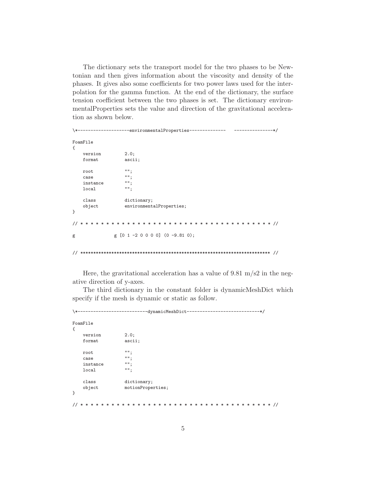The dictionary sets the transport model for the two phases to be Newtonian and then gives information about the viscosity and density of the phases. It gives also some coefficients for two power laws used for the interpolation for the gamma function. At the end of the dictionary, the surface tension coefficient between the two phases is set. The dictionary environmental Properties sets the value and direction of the gravitational acceleration as shown below.

```
\*--------------------environmentalProperties--------------
                                                    ---------------*/
FoamFile
\mathcal{L}2.0;version
   format
                ascii;
                \cdots,root.
                ...case\begin{smallmatrix} 0 & 0 \\ & 1 \end{smallmatrix},instance
                ^{\mathrm{uu}} ;
   local
   class
                dictionary;
                environmentalProperties;
   object
\mathcal{F}\frac{1}{2}g [0 1 -2 0 0 0 0] (0 -9.81 0);
g
```
Here, the gravitational acceleration has a value of 9.81 m/s2 in the negative direction of y-axes.

The third dictionary in the constant folder is dynamicMeshDict which specify if the mesh is dynamic or static as follow.

```
---------dynamicMeshDict----------------------------------
FoamFile
\mathcal{L}_{\mathcal{L}}2.0:version
    format
                       ascii;
                       ...root
                       \begin{smallmatrix} 0&0&\frac{1}{2} \end{smallmatrix}case\mathbb{R}^n ;
    instance
                       \overline{\mathfrak{m}}localclassdictionary;
                      motionProperties;
    object
\mathcal{F}
```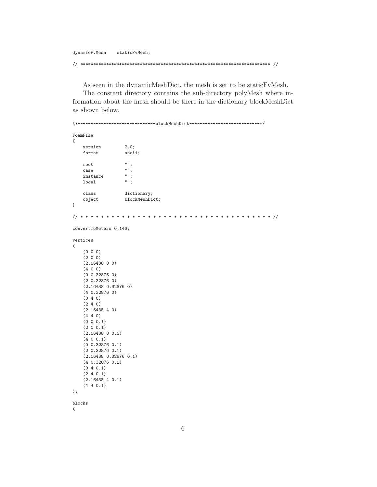dynamicFvMesh staticFvMesh;

// \*\*\*\*\*\*\*\*\*\*\*\*\*\*\*\*\*\*\*\*\*\*\*\*\*\*\*\*\*\*\*\*\*\*\*\*\*\*\*\*\*\*\*\*\*\*\*\*\*\*\*\*\*\*\*\*\*\*\*\*\*\*\*\*\*\*\*\*\*\*\*\*\* //

As seen in the dynamicMeshDict, the mesh is set to be staticFvMesh.

The constant directory contains the sub-directory polyMesh where information about the mesh should be there in the dictionary blockMeshDict as shown below.

```
\*------------------------------blockMeshDict---------------------------*/
FoamFile
{
   version 2.0;
   format ascii;
   root "";
   case "";<br>instance "";
   instance "";<br>local "";
   localclass dictionary;
   object blockMeshDict;
}
// * * * * * * * * * * * * * * * * * * * * * * * * * * * * * * * * * * * * * //
convertToMeters 0.146;
vertices
(
    (0 0 0)
   (2 0 0)
   (2.16438 0 0)
    (4 0 0)
    (0 0.32876 0)
    (2 0.32876 0)
    (2.16438 0.32876 0)
    (4 0.32876 0)
    (0 4 0)
   (2 4 0)
    (2.16438 4 0)
    (4 4 0)
    (0 0 0.1)
    (2 0 0.1)
   (2.16438 0 0.1)
    (4 0 0.1)
    (0 0.32876 0.1)
    (2 0.32876 0.1)
    (2.16438 0.32876 0.1)
   (4 0.32876 0.1)
    (0 4 0.1)
    (2 4 0.1)
    (2.16438 4 0.1)
    (4 4 0.1)
);
blocks
(
```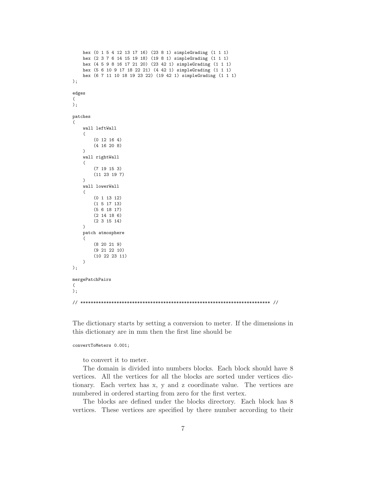```
hex (0 1 5 4 12 13 17 16) (23 8 1) simpleGrading (1 1 1)
    hex (2 3 7 6 14 15 19 18) (19 8 1) simpleGrading (1 1 1)
    hex (4 5 9 8 16 17 21 20) (23 42 1) simpleGrading (1 1 1)
    hex (5 6 10 9 17 18 22 21) (4 42 1) simpleGrading (1 1 1)
    hex (6 7 11 10 18 19 23 22) (19 42 1) simpleGrading (1 1 1)
);
edges
(
);
patches
(
    wall leftWall
    (
        (0 12 16 4)
        (4 16 20 8)
    )
    wall rightWall
    (
        (7 19 15 3)
        (11 23 19 7)
    )
    wall lowerWall
    (
        (0 1 13 12)
        (1 5 17 13)
        (5 6 18 17)
        (2 14 18 6)
        (2 3 15 14)
    )
    patch atmosphere
    (
        (8 20 21 9)
        (9 21 22 10)
        (10 22 23 11)
    )
);
mergePatchPairs
(
);
// ************************************************************************* //
```
The dictionary starts by setting a conversion to meter. If the dimensions in this dictionary are in mm then the first line should be

convertToMeters 0.001;

to convert it to meter.

The domain is divided into numbers blocks. Each block should have 8 vertices. All the vertices for all the blocks are sorted under vertices dictionary. Each vertex has x, y and z coordinate value. The vertices are numbered in ordered starting from zero for the first vertex.

The blocks are defined under the blocks directory. Each block has 8 vertices. These vertices are specified by there number according to their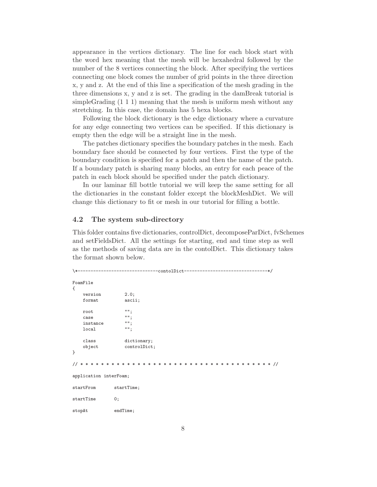appearance in the vertices dictionary. The line for each block start with the word hex meaning that the mesh will be hexahedral followed by the number of the 8 vertices connecting the block. After specifying the vertices connecting one block comes the number of grid points in the three direction x, y and z. At the end of this line a specification of the mesh grading in the three dimensions x, y and z is set. The grading in the damBreak tutorial is simpleGrading (1 1 1) meaning that the mesh is uniform mesh without any stretching. In this case, the domain has 5 hexa blocks.

Following the block dictionary is the edge dictionary where a curvature for any edge connecting two vertices can be specified. If this dictionary is empty then the edge will be a straight line in the mesh.

The patches dictionary specifies the boundary patches in the mesh. Each boundary face should be connected by four vertices. First the type of the boundary condition is specified for a patch and then the name of the patch. If a boundary patch is sharing many blocks, an entry for each peace of the patch in each block should be specified under the patch dictionary.

In our laminar fill bottle tutorial we will keep the same setting for all the dictionaries in the constant folder except the blockMeshDict. We will change this dictionary to fit or mesh in our tutorial for filling a bottle.

#### 4.2 The system sub-directory

This folder contains five dictionaries, controlDict, decomposeParDict, fvSchemes and setFieldsDict. All the settings for starting, end and time step as well as the methods of saving data are in the contolDict. This dictionary takes the format shown below.

```
\*-------------------------------contolDict--------------------------------*/
FoamFile
{
   version 2.0;
   format ascii;
   root "";
   case "";<br>instance "";
   instance "";<br>
local "";
   localclass dictionary;
   object controlDict;
}
// * * * * * * * * * * * * * * * * * * * * * * * * * * * * * * * * * * * * * //
application interFoam;
startFrom startTime;
startTime 0;
stopAt endTime;
```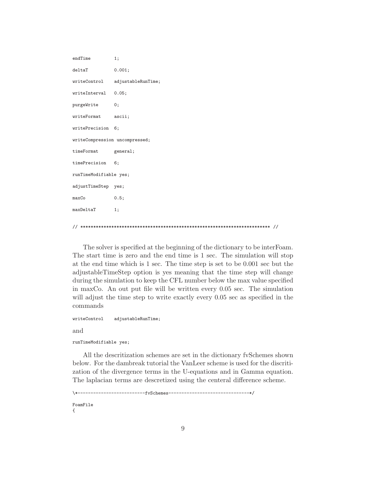```
endTime 1;
deltaT 0.001;
writeControl adjustableRunTime;
writeInterval 0.05;
purgeWrite 0;
writeFormat ascii;
writePrecision 6;
writeCompression uncompressed;
timeFormat general;
timePrecision 6;
runTimeModifiable yes;
adjustTimeStep yes;
maxCo 0.5;
maxDeltaT 1;
```
// \*\*\*\*\*\*\*\*\*\*\*\*\*\*\*\*\*\*\*\*\*\*\*\*\*\*\*\*\*\*\*\*\*\*\*\*\*\*\*\*\*\*\*\*\*\*\*\*\*\*\*\*\*\*\*\*\*\*\*\*\*\*\*\*\*\*\*\*\*\*\*\*\* //

The solver is specified at the beginning of the dictionary to be interFoam. The start time is zero and the end time is 1 sec. The simulation will stop at the end time which is 1 sec. The time step is set to be 0.001 sec but the adjustableTimeStep option is yes meaning that the time step will change during the simulation to keep the CFL number below the max value specified in maxCo. An out put file will be written every 0.05 sec. The simulation will adjust the time step to write exactly every  $0.05$  sec as specified in the commands

```
writeControl adjustableRunTime;
and
runTimeModifiable yes;
```
All the descritization schemes are set in the dictionary fvSchemes shown below. For the dambreak tutorial the VanLeer scheme is used for the discritization of the divergence terms in the U-equations and in Gamma equation. The laplacian terms are descretized using the centeral difference scheme.

```
\*--------------------------fvSchemes-------------------------------*/
FoamFile
{
```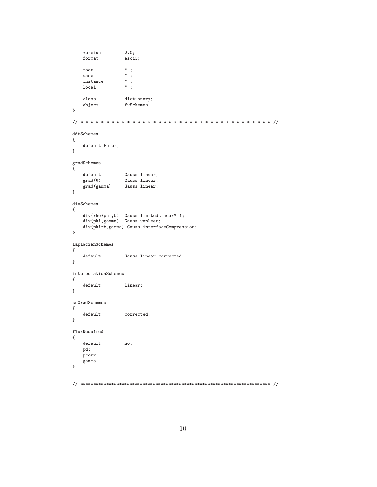```
2.0;version
     format
                          ascii;
                           \cdotsroot
                           \left\langle \begin{array}{c} 1 \\ 0 \\ 0 \\ 1 \end{array} \right\ranglecase\mathbb{R}^{n} ;
     \mathtt{instance}\overline{\cdots}local\mathtt{class}dictionary;
     object
                          fvSchemes;
\mathcal{F}{\tt ddtSchemes}\left\{ \right.default Euler;
\, }
\operatorname{\textsf{gradSchemes}}\left\{ \right.\mathtt{default}Gauss linear;
     \operatorname{grad}(\mathtt{U})Gauss linear;
     grad(gamma)Gauss linear;
\mathcal{F}{\tt divSchemes}\left\{ \right.div(rho *phi, U) Gauss limitedLinearV 1;
     div(phi, gamma) Gauss vanLeer;
     div(phirb, gamma) Gauss interfaceCompression;
\mathcal{F}laplacianSchemes
\left\{ \right.Gauss linear corrected;
     \tt default\mathcal{F}\verb|interpolationSchemes|\left\{ \right.defaultlinear;
\mathcal{F}{\tt snGradSchemes}\left\{ \right.defaultcorrected;
\mathcal{F}{\tt fluxRequired}\left\{ \right.\operatorname{\textsf{default}}no;
    pd;
    pcorr;
     gamma;\mathcal{F}
```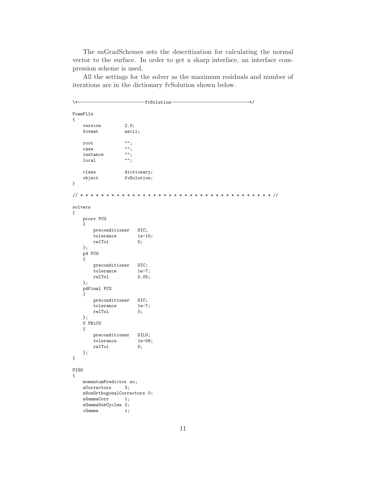The snGradSchemes sets the descritization for calculating the normal vector to the surface. In order to get a sharp interface, an interface compression scheme is used.

All the settings for the solver as the maximum residuals and number of iterations are in the dictionary fvSolution shown below.

```
\xleftarrow{\ast----}FoamFile
\mathcal{L}_{\mathcal{A}}version
                       2.0;
    format
                       ascii;
    root
                       \mathbf{m}_1\begin{smallmatrix} 0 & 0 \\ & 1 \end{smallmatrix},case\left\Vert \mathbf{u}\right\Vert _{\frac{1}{2}}instance\overline{\mathfrak{m}}local
    classdictionary;
    object
                       fvSolution;
\, }
solvers
\{pcorr PCG
    \left\{ \right.preconditioner
                            DIC;
         tolerance
                            1e-10;
         relTol
                             0;\};
    pd PCG
    \left\{ \right.preconditioner DIC;
         {\tt tolerance}1e-7;relTol0.05;\};
    \operatorname{pdFinal} \operatorname{PCG}\mathcal{L}preconditioner
                           DIC;
         tolerance
                            1e-7;relTol0;\};
    U PBiCG
    \{\, preconditioner
                           DILU;
         tolerance
                             1e-06;relTol
                             0;\};
\, }
PISO
\left\{ \right.momentumPredictor no;
    nCorrectors
                      3;nNonOrthogonalCorrectors 0;
    \operatorname{nGammaCorr}1;nGammaSubCycles 2;
    cGamma
                       1;
```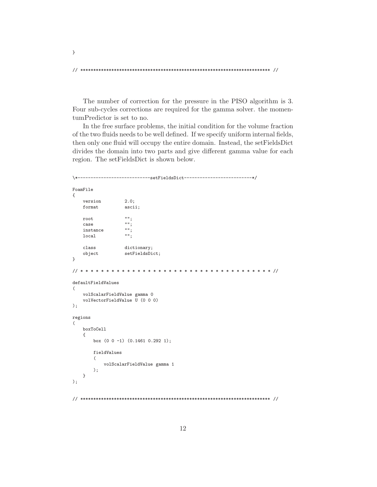$\mathcal{F}$ 

The number of correction for the pressure in the PISO algorithm is 3. Four sub-cycles corrections are required for the gamma solver, the momentumPredictor is set to no.

In the free surface problems, the initial condition for the volume fraction of the two fluids needs to be well defined. If we specify uniform internal fields, then only one fluid will occupy the entire domain. Instead, the setFieldsDict divides the domain into two parts and give different gamma value for each region. The setFieldsDict is shown below.

```
-----------------setFieldsDict---------------------------*/
\xleftarrow{\ast}</math>FoamFile
\mathcal{L}version
                   2.0;format
                   ascii:
                   \cdotsroot
                   \frac{1}{2}case
                   ^{\mathrm{nm}} ;
    instance\cdotslocal
    class
                   dictionary;
    object
                   setFieldsDict;
\,// * * * * * * * * * * *
                        defaultFieldValues
\overline{C}volScalarFieldValue gamma 0
    volVectorFieldValue \bar{U} (0 0 0)
);
regions
\left(boxToCell
    \left\{ \right.box (0 0 -1) (0.1461 0.292 1);fieldValues
       \overline{(\ }volScalarFieldValue gamma 1
       ):
   \mathcal{F});
```
12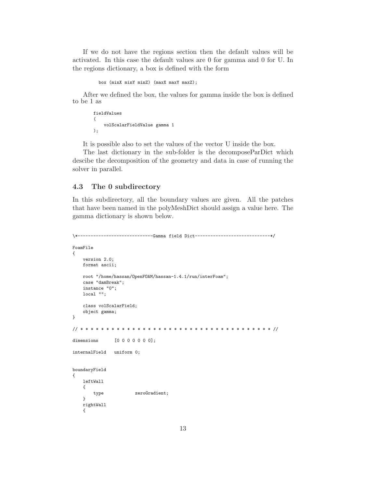If we do not have the regions section then the default values will be activated. In this case the default values are 0 for gamma and 0 for U. In the regions dictionary, a box is defined with the form

```
box (minX minY minZ) (maxX maxY maxZ);
```
After we defined the box, the values for gamma inside the box is defined to be 1 as

```
fieldValues
(
    volScalarFieldValue gamma 1
);
```
It is possible also to set the values of the vector U inside the box.

The last dictionary in the sub-folder is the decomposeParDict which descibe the decomposition of the geometry and data in case of running the solver in parallel.

### 4.3 The 0 subdirectory

In this subdirectory, all the boundary values are given. All the patches that have been named in the polyMeshDict should assign a value here. The gamma dictionary is shown below.

```
\*-----------------------------Gamma field Dict-----------------------------*/
FoamFile
{
    version 2.0;
   format ascii;
    root "/home/hassan/OpenFOAM/hassan-1.4.1/run/interFoam";
    case "damBreak";
    instance "0";
    local "";
    class volScalarField;
    object gamma;
}
// * * * * * * * * * * * * * * * * * * * * * * * * * * * * * * * * * * * * * //
dimensions [0 0 0 0 0 0 0];
internalField uniform 0;
boundaryField
{
    leftWall
    {
        type zeroGradient;
    }
   rightWall
    {
```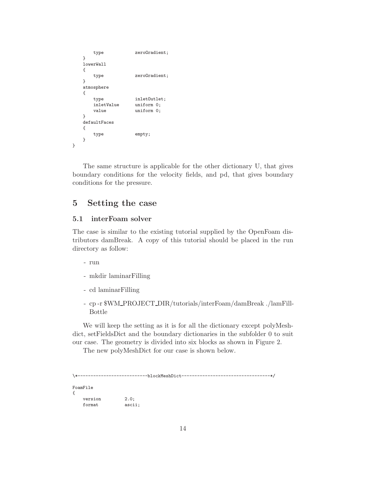```
type zeroGradient;
   }
   lowerWall
   {
       type zeroGradient;
   }
   atmosphere
   {
       type inletOutlet;
       inletValue uniform 0;<br>value uniform 0;
                     uniform 0;
   }
   defaultFaces
   {
       type empty;
   }
}
```
The same structure is applicable for the other dictionary U, that gives boundary conditions for the velocity fields, and pd, that gives boundary conditions for the pressure.

### 5 Setting the case

#### 5.1 interFoam solver

The case is similar to the existing tutorial supplied by the OpenFoam distributors damBreak. A copy of this tutorial should be placed in the run directory as follow:

- run
- mkdir laminarFilling
- cd laminarFilling
- cp -r \$WM PROJECT DIR/tutorials/interFoam/damBreak ./lamFill-Bottle

We will keep the setting as it is for all the dictionary except polyMeshdict, setFieldsDict and the boundary dictionaries in the subfolder 0 to suit our case. The geometry is divided into six blocks as shown in Figure 2.

The new polyMeshDict for our case is shown below.

```
\*---------------------------blockMeshDict----------------------------------*/
FoamFile
{
   version 2.0;
   format ascii;
```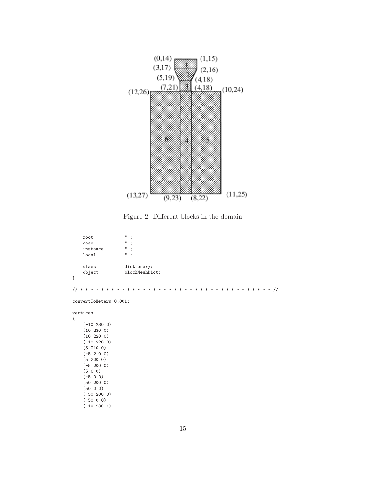

Figure 2: Different blocks in the domain

| root     |                |
|----------|----------------|
| case     |                |
| instance | нн.            |
| local    | нн.            |
|          |                |
| class    | dictionary;    |
| object   | blockMeshDict; |
|          |                |

// \* \* \* \* \* \* \* \* \* \* \* \* \* \* \* \* \* \* \* \* \* \* \* \* \* \* \* \* \* \* \* \* \* \* \* \* \* //

convertToMeters 0.001;

vertices

}

(

(-10 230 0) (10 230 0) (10 220 0) (-10 220 0) (5 210 0) (-5 210 0) (5 200 0) (-5 200 0) (5 0 0) (-5 0 0) (50 200 0) (50 0 0) (-50 200 0) (-50 0 0) (-10 230 1)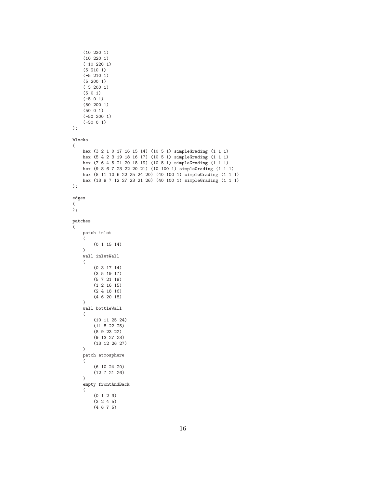```
(10 230 1)
    (10 220 1)
    (-10 220 1)
    (5 210 1)
    (-5 210 1)
    (5 200 1)
    (-5 200 1)
    (5 0 1)
    (-5 0 1)
    (50 200 1)
    (50 0 1)
    (-50 200 1)
    (-50 0 1)
);
blocks
(
    hex (3 2 1 0 17 16 15 14) (10 5 1) simpleGrading (1 1 1)
   hex (5 4 2 3 19 18 16 17) (10 5 1) simpleGrading (1 1 1)
    hex (7 6 4 5 21 20 18 19) (10 5 1) simpleGrading (1 1 1)
    hex (9 8 6 7 23 22 20 21) (10 100 1) simpleGrading (1 1 1)
    hex (8 11 10 6 22 25 24 20) (40 100 1) simpleGrading (1 1 1)
    hex (13 9 7 12 27 23 21 26) (40 100 1) simpleGrading (1 1 1)
);
edges
(
);
patches
(
    patch inlet
    (
        (0 1 15 14)
    )
    wall inletWall
    (
        (0 3 17 14)
        (3 5 19 17)
        (5 7 21 19)
        (1 2 16 15)
        (2 4 18 16)
        (4 6 20 18)
    )
    wall bottleWall
    (
        (10 11 25 24)
        (11 8 22 25)
        (8 9 23 22)
        (9 13 27 23)
        (13 12 26 27)
    )
    patch atmosphere
    (
        (6 10 24 20)
        (12 7 21 26)
    )
    empty frontAndBack
    (
        (0 1 2 3)
        (3 2 4 5)
        (4 6 7 5)
```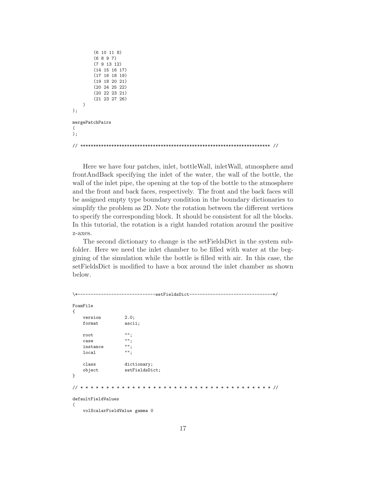```
(6 10 11 8)
        (6 8 9 7)
        (7 9 13 12)
        (14 15 16 17)
        (17 16 18 19)
        (19 18 20 21)
        (20 24 25 22)
        (20 22 23 21)
        (21 23 27 26)
    )
);
mergePatchPairs
(
);
// ************************************************************************* //
```
Here we have four patches, inlet, bottleWall, inletWall, atmosphere amd frontAndBack specifying the inlet of the water, the wall of the bottle, the wall of the inlet pipe, the opening at the top of the bottle to the atmosphere and the front and back faces, respectively. The front and the back faces will be assigned empty type boundary condition in the boundary dictionaries to simplify the problem as 2D. Note the rotation between the different vertices to specify the corresponding block. It should be consistent for all the blocks. In this tutorial, the rotation is a right handed rotation around the positive z-axes.

The second dictionary to change is the setFieldsDict in the system subfolder. Here we need the inlet chamber to be filled with water at the beggining of the simulation while the bottle is filled with air. In this case, the setFieldsDict is modified to have a box around the inlet chamber as shown below.

```
\*------------------------------setFieldsDict--------------------------------*/
FoamFile
{
    version 2.0;
   format ascii;
   root "";
    case "";<br>instance "";
    instance "";<br>local "";
   localclass dictionary;
    object setFieldsDict;
}
// * * * * * * * * * * * * * * * * * * * * * * * * * * * * * * * * * * * * * //
defaultFieldValues
(
    volScalarFieldValue gamma 0
```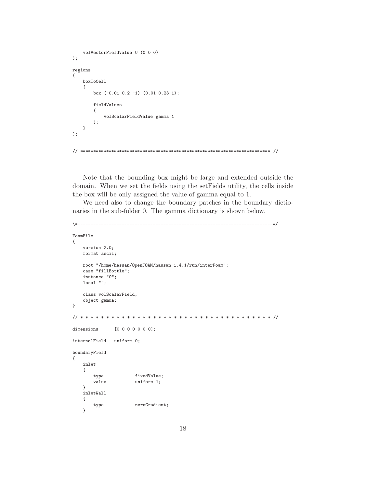```
volVectorFieldValue U (0 0 0)
);
regions
(
    boxToCell
    {
        box (-0.01 \ 0.2 \ -1) (0.01 \ 0.23 \ 1);fieldValues
        (
            volScalarFieldValue gamma 1
        );
    }
);
// ************************************************************************* //
```
Note that the bounding box might be large and extended outside the domain. When we set the fields using the setFields utility, the cells inside the box will be only assigned the value of gamma equal to 1.

We need also to change the boundary patches in the boundary dictionaries in the sub-folder 0. The gamma dictionary is shown below.

```
\*---------------------------------------------------------------------------*/
FoamFile
{
   version 2.0;
   format ascii;
   root "/home/hassan/OpenFOAM/hassan-1.4.1/run/interFoam";
   case "fillBottle";
   instance "0";
   local "";
    class volScalarField;
    object gamma;
}
// * * * * * * * * * * * * * * * * * * * * * * * * * * * * * * * * * * * * * //
dimensions [0 0 0 0 0 0 0];
internalField uniform 0;
boundaryField
{
   inlet
    {
       type fixedValue;
       value uniform 1;
    }
   inletWall
    {
       type zeroGradient;
    }
```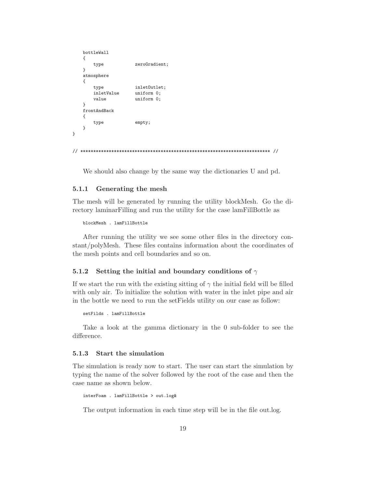```
bottleWall
   {
       type zeroGradient;
   }
   atmosphere
   {
       type inletOutlet;<br>inletValue uniform 0:
                      uniform 0:
       value uniform 0;
   }
   frontAndBack
   {
       type empty;
   }
}
// ************************************************************************* //
```
We should also change by the same way the dictionaries U and pd.

#### 5.1.1 Generating the mesh

The mesh will be generated by running the utility blockMesh. Go the directory laminarFilling and run the utility for the case lamFillBottle as

blockMesh . lamFillBottle

After running the utility we see some other files in the directory constant/polyMesh. These files contains information about the coordinates of the mesh points and cell boundaries and so on.

#### 5.1.2 Setting the initial and boundary conditions of  $\gamma$

If we start the run with the existing sitting of  $\gamma$  the initial field will be filled with only air. To initialize the solution with water in the inlet pipe and air in the bottle we need to run the setFields utility on our case as follow:

setFilds . lamFillBottle

Take a look at the gamma dictionary in the 0 sub-folder to see the difference.

#### 5.1.3 Start the simulation

The simulation is ready now to start. The user can start the simulation by typing the name of the solver followed by the root of the case and then the case name as shown below.

interFoam . lamFillBottle > out.log&

The output information in each time step will be in the file out.log.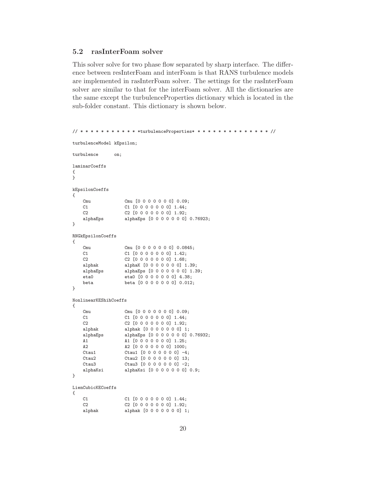### 5.2 rasInterFoam solver

This solver solve for two phase flow separated by sharp interface. The difference between resInterFoam and interFoam is that RANS turbulence models are implemented in rasInterFoam solver. The settings for the rasInterFoam solver are similar to that for the interFoam solver. All the dictionaries are the same except the turbulenceProperties dictionary which is located in the sub-folder constant. This dictionary is shown below.

```
// * * * * * * * * * * * *turbulenceProperties* * * * * * * * * * * * * * * //
turbulenceModel kEpsilon;
turbulence on;
laminarCoeffs
{
}
kEpsilonCoeffs
{
    Cmu Cmu [0 0 0 0 0 0 0 0.09;<br>
C1 0 0 0 0 0 0 0 1.44:
    C1 C1 [0 0 0 0 0 0 0] 1.44;<br>C2 [0 0 0 0 0 0 0] 1.92;
    C2 <br>
C2 [0 0 0 0 0 0 0] 1.92;<br>
alphaEps alphaEps [0 0 0 0 0 0 0]
                    alphaEps [0 0 0 0 0 0 0] 0.76923;
}
RNGkEpsilonCoeffs
{
    Cmu Cmu [0 0 0 0 0 0 0] 0.0845;<br>C1 C1 C1 [0 0 0 0 0 0 0] 1.42;
                    C1 C1 [0 0 0 0 0 0 0] 1.42;
    C2 <br>
C2 [0 0 0 0 0 0 0] 1.68;<br>
alphak <br>
alphak [0 0 0 0 0 0 0 1 1
                    alphaK [0 0 0 0 0 0 0] 1.39;
    alphaEps alphaEps [0 0 0 0 0 0 0] 1.39;
    eta0 eta0 [0 0 0 0 0 0 0] 4.38;
    beta beta [0 0 0 0 0 0 0] 0.012;
}
NonlinearKEShihCoeffs
{
    Cmu Cmu [0 0 0 0 0 0 0] 0.09;
    C1 C1 [0 0 0 0 0 0 0] 1.44;
    C2 [0 0 0 0 0 0 0] 1.92;
    alphak alphak [0 0 0 0 0 0 0] 1;
    alphaEps alphaEps [0 0 0 0 0 0 0] 0.76932;<br>A1 (0 0 0 0 0 0 0 1 .25;
                    A1 [0 0 0 0 0 0 0] 1.25;
    A2 A2 [0 0 0 0 0 0 0] 1000;
    Ctau1 Ctau1 [0 0 0 0 0 0 0] -4;
    Ctau2 Ctau2 [0 0 0 0 0 0 0] 13;
    Ctau3 Ctau3 [0 0 0 0 0 0] -2;
    alphaKsi alphaKsi [0 0 0 0 0 0 0] 0.9;
}
LienCubicKECoeffs
{
    C1 C1 [0 0 0 0 0 0 0] 1.44;<br>C2 C2 [0 0 0 0 0 0 0 1.92;
                    C2 C2 [0 0 0 0 0 0 0] 1.92;
    alphak <br>alphak [0 0 0 0 0 0 0] 1;
```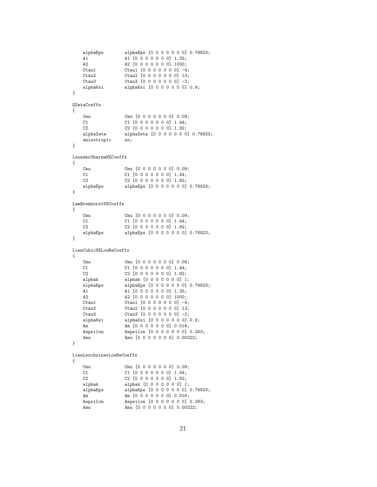```
alphaEps alphaEps [0 0 0 0 0 0 0] 0.76923;
    A1 \begin{array}{ccc} A1 & A1 & [0 \ 0 \ 0 \ 0 \ 0 \ 0 \ 0 \ 0 \ 1.25; \end{array}<br>
A2 \begin{array}{ccc} A2 & [0 \ 0 \ 0 \ 0 \ 0 \ 0 \ 0 \ 0 \ 0 \ 0 \ 0 \ 1 \ 1000; \end{array}A2 A2 [0 0 0 0 0 0 0] 1000;
     Ctau1 <br>Ctau2 <br>Ctau2 <br>Ctau2 <br>[0 0 0 0 0 0 0 0] 13;
     Ctau2 Ctau2 [0 0 0 0 0 0 0] 13;
                        Ctau3 [0 0 0 0 0 0 0] -2;
     alphaKsi alphaKsi [0 0 0 0 0 0 0] 0.9;
}
QZetaCoeffs
{
    Cmu Cmu [0 0 0 0 0 0 0] 0.09;<br>C1 [0 0 0 0 0 0 0] 1.44;
                        C1 C1 [0 0 0 0 0 0 0] 1.44;
    C2 [0 0 0 0 0 0 0] 1.92;
    alphaZeta alphaZeta [0 0 0 0 0 0 0] 0.76923;
     anisotropic no;
}
LaunderSharmaKECoeffs
{
     Cmu Cmu [0 0 0 0 0 0 0] 0.09;
    C1 [0 0 0 0 0 0 0] 1.44;
    C2 [0 0 0 0 0 0 0 0] 1.92;
     alphaEps alphaEps [0 0 0 0 0 0 0] 0.76923;
}
LamBremhorstKECoeffs
{
    Cmu Cmu [0 0 0 0 0 0 0] 0.09;<br>C1 [0 0 0 0 0 0 0] 1.44;
                        C1 C1 [0 0 0 0 0 0 0] 1.44;
     C2 <br>alphaEps <br>alphaEps <br>alphaEps <br>[0 0 0 0 0 0 0 0]
                        alphaEps [0 0 0 0 0 0 0] 0.76923;
}
LienCubicKELowReCoeffs
{
    Cmu Cmu [0 0 0 0 0 0 0] 0.09;
    C1 [0 0 0 0 0 0 0] 1.44;
    C2 <br>
C2 [0 0 0 0 0 0 0] 1.92;<br>
alphak <br>
alphak [0 0 0 0 0 0 0] 1
                        alphak [0 0 0 0 0 0 0] 1;
     alphaEps alphaEps [0 0 0 0 0 0 0] 0.76923;<br>A1 1 [0 0 0 0 0 0 0] 1.25;
     A1 <br>A2 <br>A2 <br>D 0 0 0 0 0 0 0 0 1000;
                        A2 [0 0 0 0 0 0 0] 1000;
    Ctau1 <br>Ctau2 <br>Ctau2 <br>Ctau2 <br>[0 0 0 0 0 0 0 0] 13;
                        Ctau2 [0 0 0 0 0 0 0] 13;
     Ctau3 [0 0 0 0 0 0 0] -2;
     alphaKsi alphaKsi [0 0 0 0 0 0 0] 0.9;
    Am Am Am (0 \t0\t0\t0\t0\t0\t0\t0\t) 0.016;
    Aepsilon Aepsilon [0 0 0 0 0 0 0] 0.263;<br>Amu Amu [0 0 0 0 0 0 0] 0.00222;
                        Amu [0 0 0 0 0 0 0] 0.00222;
}
LienLeschzinerLowReCoeffs
{
    Cmu Cmu [0 0 0 0 0 0 0] 0.09;
     C1 <br>
C1 <br>
C1 <br>
C1 <br>
C1 <br>
C2 <br>
C2 <br>
C2 <br>
C1 <br>
C0 0 0 0 0 0 0 0 0 1 1.44;
                        C2 C2 [0 0 0 0 0 0 0] 1.92;
     alphak [0 0 0 0 0 0 0] 1;
     alphaEps alphaEps [0 0 0 0 0 0 0] 0.76923;
     Am \begin{array}{ll}\n\text{Am} & \text{Am} & [0 0 0 0 0 0 0 0] & 0.016; \\
\text{Aepsilon} & \text{Aepsilon} & [0 0 0 0 0 0 0 0] & \text{Aepsilon}\n\end{array}Aepsilon [0 0 0 0 0 0 0] 0.263;
```
Amu  $Amu$   $[0 0 0 0 0 0 0]$  0.00222;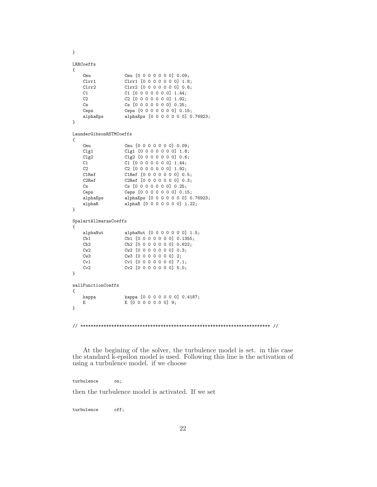}

```
LRRCoeffs
```

| $\mathcal{L}_{\mathcal{L}}$ |                         |                                   |
|-----------------------------|-------------------------|-----------------------------------|
|                             | Cmu                     | Cmu [0 0 0 0 0 0 0] 0.09;         |
|                             | C1rr1                   | Clrr1 [0 0 0 0 0 0 0] 1.8;        |
|                             | C1rr2                   | Clrr2 [0 0 0 0 0 0 0] 0.6;        |
|                             | C1                      | $C1$ [0 0 0 0 0 0 0] 1.44;        |
|                             | C2                      | C2 [0 0 0 0 0 0 0] 1.92;          |
|                             | $\mathbb{C}$ s          | Cs [0 0 0 0 0 0 0] 0.25;          |
|                             | Ceps                    | Ceps [0 0 0 0 0 0 0] 0.15;        |
|                             | alphaEps                | alphaEps [0 0 0 0 0 0 0] 0.76923; |
| }                           |                         |                                   |
|                             | LaunderGibsonRSTMCoeffs |                                   |
| $\mathcal{L}_{\mathcal{L}}$ |                         |                                   |
|                             | Cmu                     | Cmu [0 0 0 0 0 0 0] 0.09;         |
|                             | CIg1                    | Clg1 [0 0 0 0 0 0 0] 1.8;         |
|                             | C1g2                    | $Clg2$ [0 0 0 0 0 0 0] 0.6;       |
|                             | C1                      | C1 [0 0 0 0 0 0 0] 1.44;          |
|                             | C2                      | C2 [0 0 0 0 0 0 0] 1.92;          |
|                             | C1Ref                   | C1Ref [0 0 0 0 0 0 0] 0.5;        |
|                             | C2Ref                   | C2Ref [0 0 0 0 0 0 0] 0.3;        |
|                             | Cs                      | Cs [0 0 0 0 0 0 0] 0.25;          |
|                             | Ceps                    | Ceps [0 0 0 0 0 0 0] 0.15;        |
|                             | alphaEps                | alphaEps [0 0 0 0 0 0 0] 0.76923; |
|                             | alphaR                  | alphaR [0 0 0 0 0 0 0] 1.22;      |
| }                           |                         |                                   |
|                             | SpalartAllmarasCoeffs   |                                   |
| €                           |                         |                                   |
|                             | alphaNut                | alphaNut [0 0 0 0 0 0 0] 1.5;     |
|                             | Cb1                     | Cb1 [0 0 0 0 0 0 0] 0.1355;       |
|                             | Cb2                     | Cb2 [0 0 0 0 0 0 0] 0.622;        |
|                             | Cw2                     | Cw2 [0 0 0 0 0 0 0] 0.3;          |
|                             | Cw3                     | Cw3 [0 0 0 0 0 0 0] 2;            |
|                             | Cv1                     | Cv1 [0 0 0 0 0 0 0] 7.1;          |
|                             | Cv2                     | Cv2 [0 0 0 0 0 0 0] 5.0;          |
| }                           |                         |                                   |
|                             | wallFunctionCoeffs      |                                   |
| €                           |                         |                                   |
|                             | kappa                   | kappa [0 0 0 0 0 0 0] 0.4187;     |
|                             |                         |                                   |
|                             | E                       | $E$ [0 0 0 0 0 0 0] 9;            |
| }                           |                         |                                   |

At the begining of the solver, the turbulence model is set. in this case the standard k-epsilon model is used. Following this line is the activation of using a turbulence model. if we choose

turbulence on;

then the turbulence model is activated. If we set

turbulence off;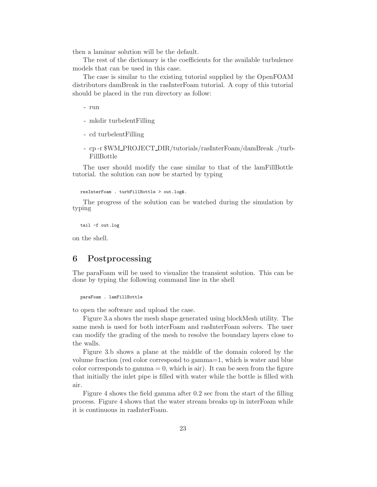then a laminar solution will be the default.

The rest of the dictionary is the coefficients for the available turbulence models that can be used in this case.

The case is similar to the existing tutorial supplied by the OpenFOAM distributors damBreak in the rasInterFoam tutorial. A copy of this tutorial should be placed in the run directory as follow:

- run

- mkdir turbelentFilling
- cd turbelentFilling
- cp -r \$WM PROJECT DIR/tutorials/rasInterFoam/damBreak ./turb-FillBottle

The user should modify the case similar to that of the lamFillBottle tutorial. the solution can now be started by typing

resInterFoam . turbFillBottle > out.log&.

The progress of the solution can be watched during the simulation by typing

tail -f out.log

on the shell.

### 6 Postprocessing

The paraFoam will be used to visualize the transient solution. This can be done by typing the following command line in the shell

```
paraFoam . lamFillBottle
```
to open the software and upload the case.

Figure 3.a shows the mesh shape generated using blockMesh utility. The same mesh is used for both interFoam and rasInterFoam solvers. The user can modify the grading of the mesh to resolve the boundary layers close to the walls.

Figure 3.b shows a plane at the middle of the domain colored by the volume fraction (red color correspond to gamma=1, which is water and blue color corresponds to gamma  $= 0$ , which is air). It can be seen from the figure that initially the inlet pipe is filled with water while the bottle is filled with air.

Figure 4 shows the field gamma after 0.2 sec from the start of the filling process. Figure 4 shows that the water stream breaks up in interFoam while it is continuous in rasInterFoam.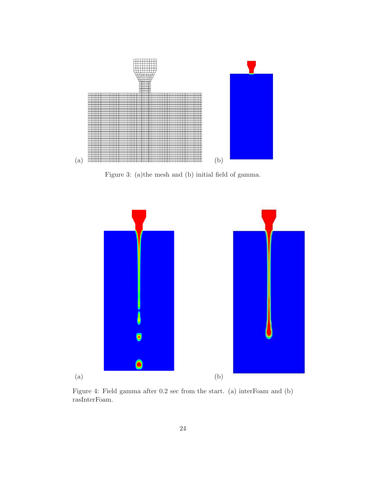

Figure 3: (a)the mesh and (b) initial field of gamma.



Figure 4: Field gamma after 0.2 sec from the start. (a) interFoam and (b) rasInterFoam.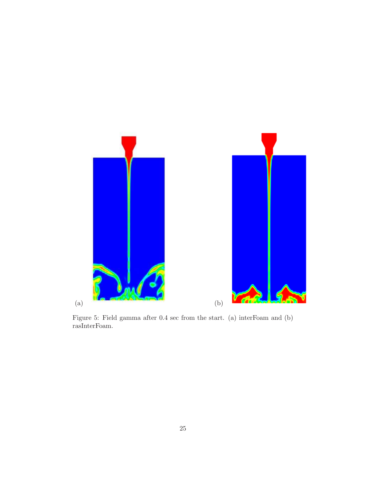

Figure 5: Field gamma after 0.4 sec from the start. (a) interFoam and (b) rasInterFoam.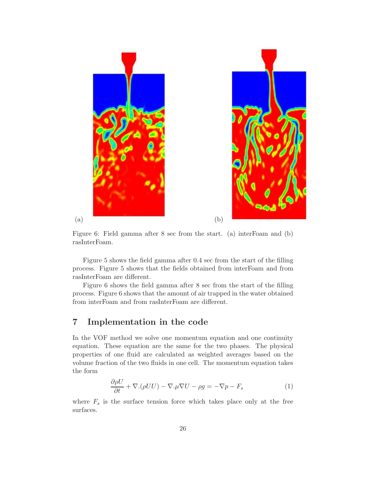



Figure 6: Field gamma after 8 sec from the start. (a) interFoam and (b) rasInterFoam.

Figure 5 shows the field gamma after 0.4 sec from the start of the filling process. Figure 5 shows that the fields obtained from interFoam and from rasInterFoam are different.

Figure 6 shows the field gamma after 8 sec from the start of the filling process. Figure 6 shows that the amount of air trapped in the water obtained from interFoam and from rasInterFoam are different.

### 7 Implementation in the code

In the VOF method we solve one momentum equation and one continuity equation. These equation are the same for the two phases. The physical properties of one fluid are calculated as weighted averages based on the volume fraction of the two fluids in one cell. The momentum equation takes the form

$$
\frac{\partial \rho U}{\partial t} + \nabla \cdot (\rho U U) - \nabla \cdot \mu \nabla U - \rho g = -\nabla p - F_s \tag{1}
$$

where  $F_s$  is the surface tension force which takes place only at the free surfaces.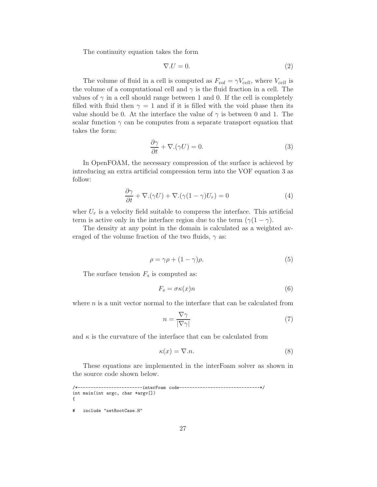The continuity equation takes the form

$$
\nabla.U=0.\t(2)
$$

The volume of fluid in a cell is computed as  $F_{vol} = \gamma V_{cell}$ , where  $V_{cell}$  is the volume of a computational cell and  $\gamma$  is the fluid fraction in a cell. The values of  $\gamma$  in a cell should range between 1 and 0. If the cell is completely filled with fluid then  $\gamma = 1$  and if it is filled with the void phase then its value should be 0. At the interface the value of  $\gamma$  is between 0 and 1. The scalar function  $\gamma$  can be computes from a separate transport equation that takes the form:

$$
\frac{\partial \gamma}{\partial t} + \nabla \cdot (\gamma U) = 0. \tag{3}
$$

In OpenFOAM, the necessary compression of the surface is achieved by intreducing an extra artificial compression term into the VOF equation 3 as follow:

$$
\frac{\partial \gamma}{\partial t} + \nabla \cdot (\gamma U) + \nabla \cdot (\gamma (1 - \gamma) U_r) = 0 \tag{4}
$$

wher  $U_r$  is a velocity field suitable to compress the interface. This artificial term is active only in the interface region due to the term  $(\gamma(1 - \gamma))$ .

The density at any point in the domain is calculated as a weighted averaged of the volume fraction of the two fluids,  $\gamma$  as:

$$
\rho = \gamma \rho + (1 - \gamma)\rho. \tag{5}
$$

The surface tension  $F_s$  is computed as:

$$
F_s = \sigma \kappa(x) n \tag{6}
$$

where  $n$  is a unit vector normal to the interface that can be calculated from

$$
n = \frac{\nabla \gamma}{|\nabla \gamma|} \tag{7}
$$

and  $\kappa$  is the curvature of the interface that can be calculated from

$$
\kappa(x) = \nabla \cdot n. \tag{8}
$$

These equations are implemented in the interFoam solver as shown in the source code shown below.

```
/*-------------------------interFoam code-------------------------------*/
int main(int argc, char *argv[])
{
```
# include "setRootCase.H"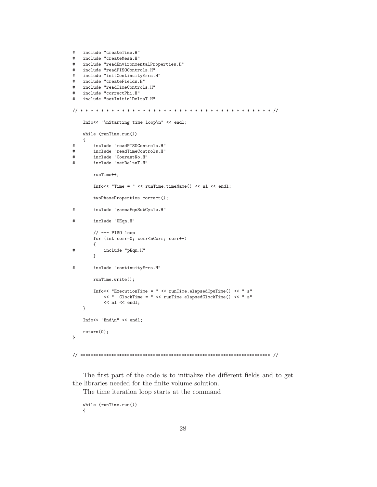```
#include "createTime.H"
   include "createMesh.H"
#include "readEnvironmentalProperties.H"
##include "readPISOControls.H"
  include "initContinuityErrs.H"
#include "createFields.H"
##include "readTimeControls.H"
  include "correctPhi.H"
## include "setInitialDeltaT.H"
Info<< "\nStarting time loop\n" << endl;
   while (runTime.run())\left\{ \right.include "readPISOControls.H"
#include "readTimeControls.H"
#include "CourantNo.H"
#include "setDeltaT.H"
#runTime++;
       Info<< "Time = " << runTime.timeName() << nl << endl;
       twoPhaseProperties.correct();
\#include "gammaEqnSubCycle.H"
\#include "UEqn.H"
       // -- PIS0 loopfor (int corr=0; corr<nCorr; corr++)
       \mathcal{L}include "pEqn.H"
\#\mathcal{F}include "continuityErrs.H"
#runTime.write();
       Info<< "ExecutionTime = " << runTime.elapsedCpuTime() << " s"
          << " ClockTime = " << runTime.elapsedClockTime() << " s"
          << nl << endl;
   \}Info<< "End\n\cdot" << endl;
   return(0);\mathcal{F}
```
The first part of the code is to initialize the different fields and to get the libraries needed for the finite volume solution.

The time iteration loop starts at the command

```
while (runTime.run())\mathcal{L}
```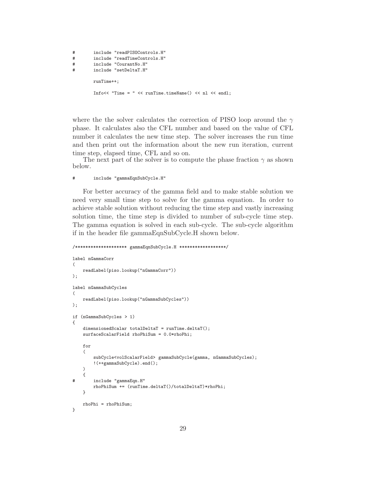```
# include "readPISOControls.H"
# include "readTimeControls.H"
# include "CourantNo.H"
# include "setDeltaT.H"
       runTime++;
       Info<< "Time = " << runTime.timeName() << nl << endl:
```
where the the solver calculates the correction of PISO loop around the  $\gamma$ phase. It calculates also the CFL number and based on the value of CFL number it calculates the new time step. The solver increases the run time and then print out the information about the new run iteration, current time step, elapsed time, CFL and so on.

The next part of the solver is to compute the phase fraction  $\gamma$  as shown below.

#### # include "gammaEqnSubCycle.H"

For better accuracy of the gamma field and to make stable solution we need very small time step to solve for the gamma equation. In order to achieve stable solution without reducing the time step and vastly increasing solution time, the time step is divided to number of sub-cycle time step. The gamma equation is solved in each sub-cycle. The sub-cycle algorithm if in the header file gammaEqnSubCycle.H shown below.

```
/******************** gammaEqnSubCycle.H ******************/
label nGammaCorr
(
    readLabel(piso.lookup("nGammaCorr"))
);
label nGammaSubCycles
(
    readLabel(piso.lookup("nGammaSubCycles"))
);
if (nGammaSubCycles > 1)
{
    dimensionedScalar totalDeltaT = runTime.deltaT();
    surfaceScalarField rhoPhiSum = 0.0*rhoPhi;
    for
    (
        subCycle<volScalarField> gammaSubCycle(gamma, nGammaSubCycles);
        !(++gammaSubCycle).end();
    \lambda{
# include "gammaEqn.H"
        rhoPhiSum += (runTime.deltaT()/totalDeltaT)*rhoPhi;
    }
    rhoPhi = rhoPhiSum;
}
```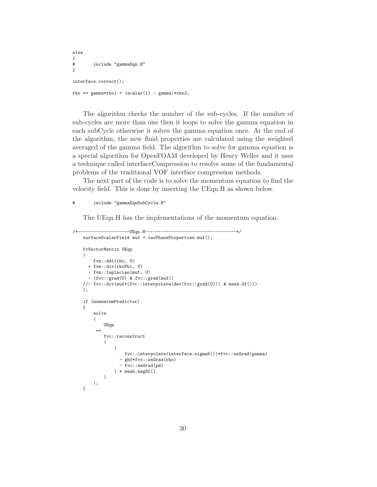```
else
{^+}include "gammaEqn.H"
}
interface.correct();
rho == gamma*rho1 + (scalar(1) - gamma)*rho2;
```
The algorithm checks the number of the sub-cycles. If the number of sub-cycles are more than one then it loops to solve the gamma equation in each subCycle otherwise it solves the gamma equation once. At the end of the algorithm, the new fluid properties are calculated using the weighted averaged of the gamma field. The algorithm to solve for gamma equation is a special algorithm for OpenFOAM developed by Henry Weller and it uses a technique called interfaceCompression to resolve some of the fundamental problems of the traditional VOF interface compression methods.

The next part of the code is to solve the momentum equation to find the velocity field. This is done by inserting the UEqn.H as shown below.

#### # include "gammaEqnSubCycle.H"

The UEqn.H has the implementations of the momentum equation.

```
/*--------------------UEqn.H-----------------------------------*/
   surfaceScalarField muf = twoPhaseProperties.muf();
   fvVectorMatrix UEqn
   (
       fvm::ddt(rho, U)
     + fvm::div(rhoPhi, U)
     - fvm::laplacian(muf, U)
      - (fvc::grad(U) & fvc::grad(muf))
   //- fvc::div(muf*(fvc::interpolate(dev(fvc::grad(U))) & mesh.Sf()))
   );
   if (momentumPredictor)
   {
       solve
        (
            UEqn
        =fvc::reconstruct
            (
                (
                    fvc::interpolate(interface.sigmaK())*fvc::snGrad(gamma)
                  - ghf*fvc::snGrad(rho)
                  - fvc::snGrad(pd)
               ) * mesh.magSf()
           )
       );
   }
```